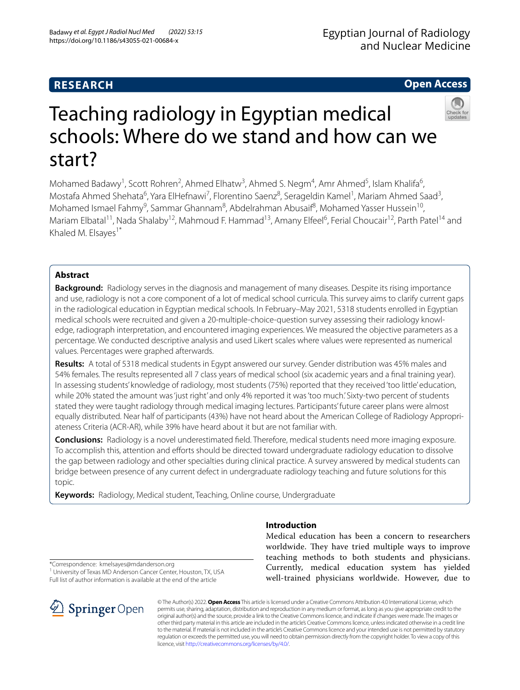# **RESEARCH**

# **Open Access**



# Teaching radiology in Egyptian medical schools: Where do we stand and how can we start?

Mohamed Badawy<sup>1</sup>, Scott Rohren<sup>2</sup>, Ahmed Elhatw<sup>3</sup>, Ahmed S. Negm<sup>4</sup>, Amr Ahmed<sup>5</sup>, Islam Khalifa<sup>6</sup>, Mostafa Ahmed Shehata<sup>6</sup>, Yara ElHefnawi<sup>7</sup>, Florentino Saenz<sup>8</sup>, Serageldin Kamel<sup>1</sup>, Mariam Ahmed Saad<sup>3</sup>, Mohamed Ismael Fahmy<sup>9</sup>, Sammar Ghannam<sup>8</sup>, Abdelrahman Abusaif<sup>8</sup>, Mohamed Yasser Hussein<sup>10</sup>, Mariam Elbatal<sup>11</sup>, Nada Shalaby<sup>12</sup>, Mahmoud F. Hammad<sup>13</sup>, Amany Elfeel<sup>6</sup>, Ferial Choucair<sup>12</sup>, Parth Patel<sup>14</sup> and Khaled M. Elsayes<sup>1\*</sup>

# **Abstract**

**Background:** Radiology serves in the diagnosis and management of many diseases. Despite its rising importance and use, radiology is not a core component of a lot of medical school curricula. This survey aims to clarify current gaps in the radiological education in Egyptian medical schools. In February–May 2021, 5318 students enrolled in Egyptian medical schools were recruited and given a 20-multiple-choice-question survey assessing their radiology knowledge, radiograph interpretation, and encountered imaging experiences. We measured the objective parameters as a percentage. We conducted descriptive analysis and used Likert scales where values were represented as numerical values. Percentages were graphed afterwards.

**Results:** A total of 5318 medical students in Egypt answered our survey. Gender distribution was 45% males and 54% females. The results represented all 7 class years of medical school (six academic years and a fnal training year). In assessing students' knowledge of radiology, most students (75%) reported that they received 'too little' education, while 20% stated the amount was 'just right' and only 4% reported it was 'too much.' Sixty-two percent of students stated they were taught radiology through medical imaging lectures. Participants' future career plans were almost equally distributed. Near half of participants (43%) have not heard about the American College of Radiology Appropriateness Criteria (ACR-AR), while 39% have heard about it but are not familiar with.

**Conclusions:** Radiology is a novel underestimated feld. Therefore, medical students need more imaging exposure. To accomplish this, attention and eforts should be directed toward undergraduate radiology education to dissolve the gap between radiology and other specialties during clinical practice. A survey answered by medical students can bridge between presence of any current defect in undergraduate radiology teaching and future solutions for this topic.

**Keywords:** Radiology, Medical student, Teaching, Online course, Undergraduate

# **Introduction**

Medical education has been a concern to researchers worldwide. They have tried multiple ways to improve teaching methods to both students and physicians. Currently, medical education system has yielded well-trained physicians worldwide. However, due to

\*Correspondence: kmelsayes@mdanderson.org

<sup>1</sup> University of Texas MD Anderson Cancer Center, Houston, TX, USA Full list of author information is available at the end of the article



© The Author(s) 2022. **Open Access** This article is licensed under a Creative Commons Attribution 4.0 International License, which permits use, sharing, adaptation, distribution and reproduction in any medium or format, as long as you give appropriate credit to the original author(s) and the source, provide a link to the Creative Commons licence, and indicate if changes were made. The images or other third party material in this article are included in the article's Creative Commons licence, unless indicated otherwise in a credit line to the material. If material is not included in the article's Creative Commons licence and your intended use is not permitted by statutory regulation or exceeds the permitted use, you will need to obtain permission directly from the copyright holder. To view a copy of this licence, visit [http://creativecommons.org/licenses/by/4.0/.](http://creativecommons.org/licenses/by/4.0/)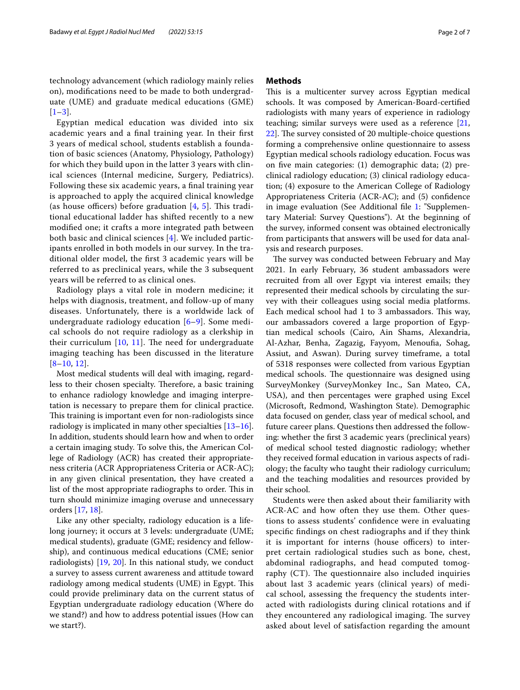technology advancement (which radiology mainly relies on), modifcations need to be made to both undergraduate (UME) and graduate medical educations (GME)  $[1-3]$  $[1-3]$  $[1-3]$ .

Egyptian medical education was divided into six academic years and a fnal training year. In their frst 3 years of medical school, students establish a foundation of basic sciences (Anatomy, Physiology, Pathology) for which they build upon in the latter 3 years with clinical sciences (Internal medicine, Surgery, Pediatrics). Following these six academic years, a fnal training year is approached to apply the acquired clinical knowledge (as house officers) before graduation  $[4, 5]$  $[4, 5]$  $[4, 5]$  $[4, 5]$  $[4, 5]$ . This traditional educational ladder has shifted recently to a new modifed one; it crafts a more integrated path between both basic and clinical sciences [[4\]](#page-5-2). We included participants enrolled in both models in our survey. In the traditional older model, the frst 3 academic years will be referred to as preclinical years, while the 3 subsequent years will be referred to as clinical ones.

Radiology plays a vital role in modern medicine; it helps with diagnosis, treatment, and follow-up of many diseases. Unfortunately, there is a worldwide lack of undergraduate radiology education [\[6](#page-5-4)–[9\]](#page-5-5). Some medical schools do not require radiology as a clerkship in their curriculum  $[10, 11]$  $[10, 11]$  $[10, 11]$  $[10, 11]$ . The need for undergraduate imaging teaching has been discussed in the literature  $[8-10, 12]$  $[8-10, 12]$  $[8-10, 12]$  $[8-10, 12]$  $[8-10, 12]$ .

Most medical students will deal with imaging, regardless to their chosen specialty. Therefore, a basic training to enhance radiology knowledge and imaging interpretation is necessary to prepare them for clinical practice. This training is important even for non-radiologists since radiology is implicated in many other specialties [[13](#page-5-10)[–16](#page-5-11)]. In addition, students should learn how and when to order a certain imaging study. To solve this, the American College of Radiology (ACR) has created their appropriateness criteria (ACR Appropriateness Criteria or ACR-AC); in any given clinical presentation, they have created a list of the most appropriate radiographs to order. This in turn should minimize imaging overuse and unnecessary orders [\[17](#page-5-12), [18\]](#page-5-13).

Like any other specialty, radiology education is a lifelong journey; it occurs at 3 levels: undergraduate (UME; medical students), graduate (GME; residency and fellowship), and continuous medical educations (CME; senior radiologists) [[19,](#page-5-14) [20](#page-5-15)]. In this national study, we conduct a survey to assess current awareness and attitude toward radiology among medical students (UME) in Egypt. This could provide preliminary data on the current status of Egyptian undergraduate radiology education (Where do we stand?) and how to address potential issues (How can we start?).

### **Methods**

This is a multicenter survey across Egyptian medical schools. It was composed by American-Board-certifed radiologists with many years of experience in radiology teaching; similar surveys were used as a reference [[21](#page-5-16), [22\]](#page-5-17). The survey consisted of 20 multiple-choice questions forming a comprehensive online questionnaire to assess Egyptian medical schools radiology education. Focus was on fve main categories: (1) demographic data; (2) preclinical radiology education; (3) clinical radiology education; (4) exposure to the American College of Radiology Appropriateness Criteria (ACR-AC); and (5) confdence in image evaluation (See Additional fle [1:](#page-5-18) "Supplementary Material: Survey Questions"). At the beginning of the survey, informed consent was obtained electronically from participants that answers will be used for data analysis and research purposes.

The survey was conducted between February and May 2021. In early February, 36 student ambassadors were recruited from all over Egypt via interest emails; they represented their medical schools by circulating the survey with their colleagues using social media platforms. Each medical school had 1 to 3 ambassadors. This way, our ambassadors covered a large proportion of Egyptian medical schools (Cairo, Ain Shams, Alexandria, Al-Azhar, Benha, Zagazig, Fayyom, Menoufa, Sohag, Assiut, and Aswan). During survey timeframe, a total of 5318 responses were collected from various Egyptian medical schools. The questionnaire was designed using SurveyMonkey (SurveyMonkey Inc., San Mateo, CA, USA), and then percentages were graphed using Excel (Microsoft, Redmond, Washington State). Demographic data focused on gender, class year of medical school, and future career plans. Questions then addressed the following: whether the frst 3 academic years (preclinical years) of medical school tested diagnostic radiology; whether they received formal education in various aspects of radiology; the faculty who taught their radiology curriculum; and the teaching modalities and resources provided by their school.

Students were then asked about their familiarity with ACR-AC and how often they use them. Other questions to assess students' confdence were in evaluating specifc fndings on chest radiographs and if they think it is important for interns (house officers) to interpret certain radiological studies such as bone, chest, abdominal radiographs, and head computed tomography  $(CT)$ . The questionnaire also included inquiries about last 3 academic years (clinical years) of medical school, assessing the frequency the students interacted with radiologists during clinical rotations and if they encountered any radiological imaging. The survey asked about level of satisfaction regarding the amount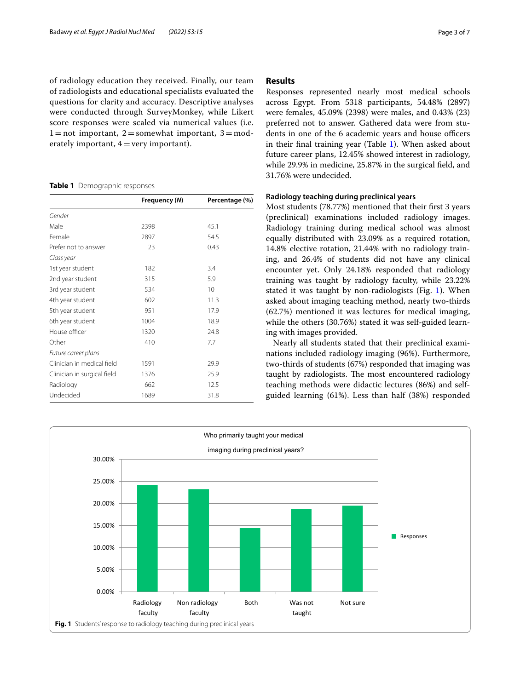of radiology education they received. Finally, our team of radiologists and educational specialists evaluated the questions for clarity and accuracy. Descriptive analyses were conducted through SurveyMonkey, while Likert score responses were scaled via numerical values (i.e.  $1=$ not important,  $2=$ somewhat important,  $3=$ moderately important,  $4 = \text{very important}$ .

#### <span id="page-2-0"></span>**Table 1** Demographic responses

|                             | Frequency (N) | Percentage (%) |
|-----------------------------|---------------|----------------|
| Gender                      |               |                |
| Male                        | 2398          | 45.1           |
| Female                      | 2897          | 54.5           |
| Prefer not to answer        | 23            | 0.43           |
| Class year                  |               |                |
| 1st year student            | 182           | 3.4            |
| 2nd year student            | 315           | 5.9            |
| 3rd year student            | 534           | 10             |
| 4th year student            | 602           | 11.3           |
| 5th year student            | 951           | 17.9           |
| 6th year student            | 1004          | 18.9           |
| House officer               | 1320          | 24.8           |
| Other                       | 410           | 7.7            |
| Future career plans         |               |                |
| Clinician in medical field  | 1591          | 29.9           |
| Clinician in surgical field | 1376          | 25.9           |
| Radiology                   | 662           | 12.5           |
| Undecided                   | 1689          | 31.8           |
|                             |               |                |

# **Results**

Responses represented nearly most medical schools across Egypt. From 5318 participants, 54.48% (2897) were females, 45.09% (2398) were males, and 0.43% (23) preferred not to answer. Gathered data were from students in one of the 6 academic years and house officers in their fnal training year (Table [1\)](#page-2-0). When asked about future career plans, 12.45% showed interest in radiology, while 29.9% in medicine, 25.87% in the surgical feld, and 31.76% were undecided.

### **Radiology teaching during preclinical years**

Most students (78.77%) mentioned that their frst 3 years (preclinical) examinations included radiology images. Radiology training during medical school was almost equally distributed with 23.09% as a required rotation, 14.8% elective rotation, 21.44% with no radiology training, and 26.4% of students did not have any clinical encounter yet. Only 24.18% responded that radiology training was taught by radiology faculty, while 23.22% stated it was taught by non-radiologists (Fig. [1\)](#page-2-1). When asked about imaging teaching method, nearly two-thirds (62.7%) mentioned it was lectures for medical imaging, while the others (30.76%) stated it was self-guided learning with images provided.

Nearly all students stated that their preclinical examinations included radiology imaging (96%). Furthermore, two-thirds of students (67%) responded that imaging was taught by radiologists. The most encountered radiology teaching methods were didactic lectures (86%) and selfguided learning (61%). Less than half (38%) responded

<span id="page-2-1"></span>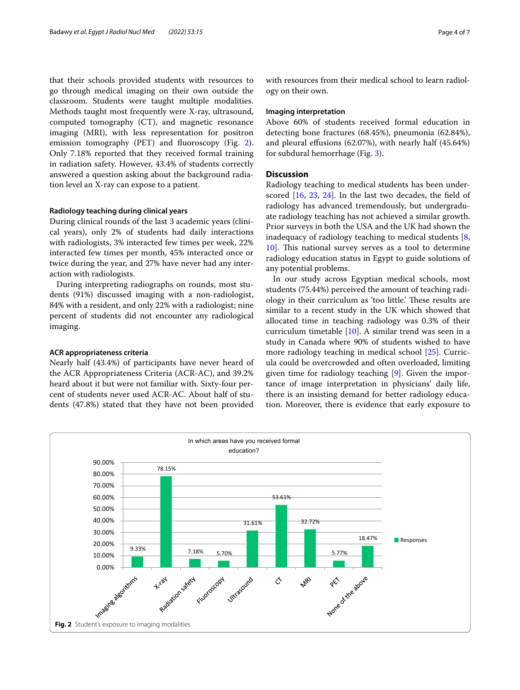that their schools provided students with resources to go through medical imaging on their own outside the classroom. Students were taught multiple modalities. Methods taught most frequently were X-ray, ultrasound, computed tomography (CT), and magnetic resonance imaging (MRI), with less representation for positron emission tomography (PET) and fuoroscopy (Fig. [2](#page-3-0)). Only 7.18% reported that they received formal training in radiation safety. However, 43.4% of students correctly answered a question asking about the background radiation level an X-ray can expose to a patient.

### **Radiology teaching during clinical years**

During clinical rounds of the last 3 academic years (clinical years), only 2% of students had daily interactions with radiologists, 3% interacted few times per week, 22% interacted few times per month, 45% interacted once or twice during the year, and 27% have never had any interaction with radiologists.

During interpreting radiographs on rounds, most students (91%) discussed imaging with a non-radiologist, 84% with a resident, and only 22% with a radiologist; nine percent of students did not encounter any radiological imaging.

### **ACR appropriateness criteria**

Nearly half (43.4%) of participants have never heard of the ACR Appropriateness Criteria (ACR-AC), and 39.2% heard about it but were not familiar with. Sixty-four percent of students never used ACR-AC. About half of students (47.8%) stated that they have not been provided

with resources from their medical school to learn radiology on their own.

#### **Imaging interpretation**

Above 60% of students received formal education in detecting bone fractures (68.45%), pneumonia (62.84%), and pleural efusions (62.07%), with nearly half (45.64%) for subdural hemorrhage (Fig. [3](#page-4-0)).

## **Discussion**

Radiology teaching to medical students has been underscored [\[16](#page-5-11), [23,](#page-5-19) [24\]](#page-5-20). In the last two decades, the feld of radiology has advanced tremendously, but undergraduate radiology teaching has not achieved a similar growth. Prior surveys in both the USA and the UK had shown the inadequacy of radiology teaching to medical students [\[8](#page-5-8), [10\]](#page-5-6). This national survey serves as a tool to determine radiology education status in Egypt to guide solutions of any potential problems.

In our study across Egyptian medical schools, most students (75.44%) perceived the amount of teaching radiology in their curriculum as 'too little.' These results are similar to a recent study in the UK which showed that allocated time in teaching radiology was 0.3% of their curriculum timetable [[10](#page-5-6)]. A similar trend was seen in a study in Canada where 90% of students wished to have more radiology teaching in medical school [[25\]](#page-6-0). Curricula could be overcrowded and often overloaded, limiting given time for radiology teaching [[9](#page-5-5)]. Given the importance of image interpretation in physicians' daily life, there is an insisting demand for better radiology education. Moreover, there is evidence that early exposure to

<span id="page-3-0"></span>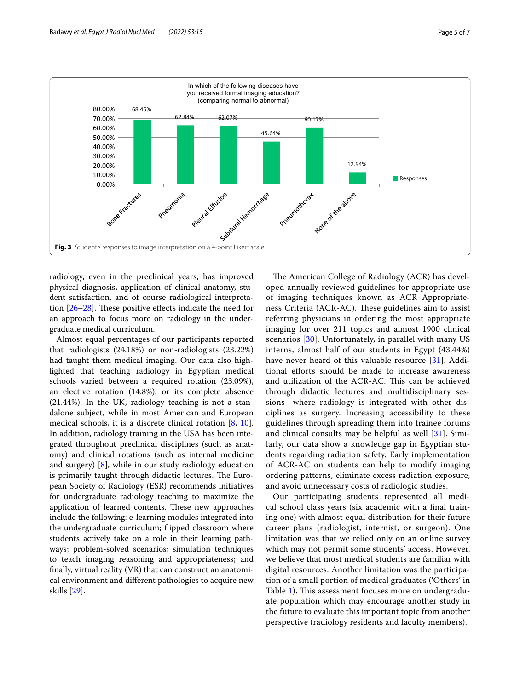

<span id="page-4-0"></span>radiology, even in the preclinical years, has improved physical diagnosis, application of clinical anatomy, student satisfaction, and of course radiological interpretation  $[26-28]$  $[26-28]$ . These positive effects indicate the need for an approach to focus more on radiology in the undergraduate medical curriculum.

Almost equal percentages of our participants reported that radiologists (24.18%) or non-radiologists (23.22%) had taught them medical imaging. Our data also highlighted that teaching radiology in Egyptian medical schools varied between a required rotation (23.09%), an elective rotation (14.8%), or its complete absence (21.44%). In the UK, radiology teaching is not a standalone subject, while in most American and European medical schools, it is a discrete clinical rotation [[8,](#page-5-8) [10](#page-5-6)]. In addition, radiology training in the USA has been integrated throughout preclinical disciplines (such as anatomy) and clinical rotations (such as internal medicine and surgery) [\[8](#page-5-8)], while in our study radiology education is primarily taught through didactic lectures. The European Society of Radiology (ESR) recommends initiatives for undergraduate radiology teaching to maximize the application of learned contents. These new approaches include the following: e-learning modules integrated into the undergraduate curriculum; fipped classroom where students actively take on a role in their learning pathways; problem-solved scenarios; simulation techniques to teach imaging reasoning and appropriateness; and fnally, virtual reality (VR) that can construct an anatomical environment and diferent pathologies to acquire new skills [\[29](#page-6-3)].

The American College of Radiology (ACR) has developed annually reviewed guidelines for appropriate use of imaging techniques known as ACR Appropriateness Criteria (ACR-AC). These guidelines aim to assist referring physicians in ordering the most appropriate imaging for over 211 topics and almost 1900 clinical scenarios [\[30](#page-6-4)]. Unfortunately, in parallel with many US interns, almost half of our students in Egypt (43.44%) have never heard of this valuable resource [[31](#page-6-5)]. Additional eforts should be made to increase awareness and utilization of the ACR-AC. This can be achieved through didactic lectures and multidisciplinary sessions—where radiology is integrated with other disciplines as surgery. Increasing accessibility to these guidelines through spreading them into trainee forums and clinical consults may be helpful as well [[31](#page-6-5)]. Similarly, our data show a knowledge gap in Egyptian students regarding radiation safety. Early implementation of ACR-AC on students can help to modify imaging ordering patterns, eliminate excess radiation exposure, and avoid unnecessary costs of radiologic studies.

Our participating students represented all medical school class years (six academic with a fnal training one) with almost equal distribution for their future career plans (radiologist, internist, or surgeon). One limitation was that we relied only on an online survey which may not permit some students' access. However, we believe that most medical students are familiar with digital resources. Another limitation was the participation of a small portion of medical graduates ('Others' in Table [1](#page-2-0)). This assessment focuses more on undergraduate population which may encourage another study in the future to evaluate this important topic from another perspective (radiology residents and faculty members).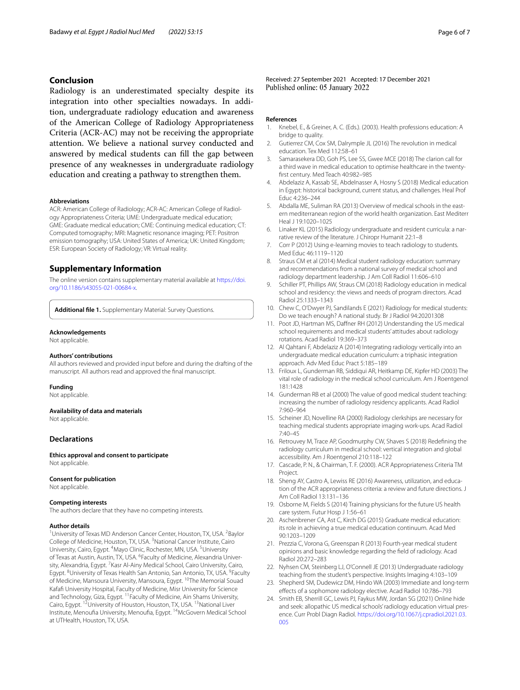# **Conclusion**

Radiology is an underestimated specialty despite its integration into other specialties nowadays. In addition, undergraduate radiology education and awareness of the American College of Radiology Appropriateness Criteria (ACR-AC) may not be receiving the appropriate attention. We believe a national survey conducted and answered by medical students can fll the gap between presence of any weaknesses in undergraduate radiology education and creating a pathway to strengthen them.

#### **Abbreviations**

ACR: American College of Radiology; ACR-AC: American College of Radiology Appropriateness Criteria; UME: Undergraduate medical education; GME: Graduate medical education; CME: Continuing medical education; CT: Computed tomography; MRI: Magnetic resonance imaging; PET: Positron emission tomography; USA: United States of America; UK: United Kingdom; ESR: European Society of Radiology; VR: Virtual reality.

### **Supplementary Information**

The online version contains supplementary material available at [https://doi.](https://doi.org/10.1186/s43055-021-00684-x) [org/10.1186/s43055-021-00684-x.](https://doi.org/10.1186/s43055-021-00684-x)

<span id="page-5-18"></span>**Additional fle 1.** Supplementary Material: Survey Questions.

#### **Acknowledgements**

Not applicable.

#### **Authors' contributions**

All authors reviewed and provided input before and during the drafting of the manuscript. All authors read and approved the fnal manuscript.

#### **Funding**

Not applicable.

#### **Availability of data and materials**

Not applicable.

### **Declarations**

**Ethics approval and consent to participate** Not applicable.

#### **Consent for publication**

Not applicable.

#### **Competing interests**

The authors declare that they have no competing interests.

#### **Author details**

<sup>1</sup> University of Texas MD Anderson Cancer Center, Houston, TX, USA. <sup>2</sup> Baylor College of Medicine, Houston, TX, USA. <sup>3</sup>National Cancer Institute, Cairo University, Cairo, Egypt. <sup>4</sup>Mayo Clinic, Rochester, MN, USA. <sup>5</sup>University of Texas at Austin, Austin, TX, USA. <sup>6</sup> Faculty of Medicine, Alexandria University, Alexandria, Egypt. <sup>7</sup> Kasr Al-Ainy Medical School, Cairo University, Cairo, Egypt. <sup>8</sup>University of Texas Health San Antonio, San Antonio, TX, USA. <sup>9</sup>Faculty of Medicine, Mansoura University, Mansoura, Egypt. <sup>10</sup>The Memorial Souad Kafaf University Hospital, Faculty of Medicine, Misr University for Science and Technology, Giza, Egypt. <sup>11</sup> Faculty of Medicine, Ain Shams University, Cairo, Egypt. <sup>12</sup>University of Houston, Houston, TX, USA. <sup>13</sup>National Liver Institute, Menoufa University, Menoufa, Egypt. 14McGovern Medical School at UTHealth, Houston, TX, USA.

Received: 27 September 2021 Accepted: 17 December 2021<br>Published online: 05 January 2022

#### **References**

- <span id="page-5-0"></span>1. Knebel, E., & Greiner, A. C. (Eds.). (2003). Health professions education: A bridge to quality.
- 2. Gutierrez CM, Cox SM, Dalrymple JL (2016) The revolution in medical education. Tex Med 112:58–61
- <span id="page-5-1"></span>3. Samarasekera DD, Goh PS, Lee SS, Gwee MCE (2018) The clarion call for a third wave in medical education to optimise healthcare in the twentyfrst century. Med Teach 40:982–985
- <span id="page-5-2"></span>4. Abdelaziz A, Kassab SE, Abdelnasser A, Hosny S (2018) Medical education in Egypt: historical background, current status, and challenges. Heal Prof Educ 4:236–244
- <span id="page-5-3"></span>5. Abdalla ME, Suliman RA (2013) Overview of medical schools in the eastern mediterranean region of the world health organization. East Mediterr Heal J 19:1020–1025
- <span id="page-5-4"></span>6. Linaker KL (2015) Radiology undergraduate and resident curricula: a narrative review of the literature. J Chiropr Humanit 22:1–8
- 7. Corr P (2012) Using e-learning movies to teach radiology to students. Med Educ 46:1119–1120
- <span id="page-5-8"></span>8. Straus CM et al (2014) Medical student radiology education: summary and recommendations from a national survey of medical school and radiology department leadership. J Am Coll Radiol 11:606–610
- <span id="page-5-5"></span>9. Schiller PT, Phillips AW, Straus CM (2018) Radiology education in medical school and residency: the views and needs of program directors. Acad Radiol 25:1333–1343
- <span id="page-5-6"></span>10. Chew C, O'Dwyer PJ, Sandilands E (2021) Radiology for medical students: Do we teach enough? A national study. Br J Radiol 94:20201308
- <span id="page-5-7"></span>11. Poot JD, Hartman MS, Daffner RH (2012) Understanding the US medical school requirements and medical students' attitudes about radiology rotations. Acad Radiol 19:369–373
- <span id="page-5-9"></span>12. Al Qahtani F, Abdelaziz A (2014) Integrating radiology vertically into an undergraduate medical education curriculum: a triphasic integration approach. Adv Med Educ Pract 5:185–189
- <span id="page-5-10"></span>13. Friloux L, Gunderman RB, Siddiqui AR, Heitkamp DE, Kipfer HD (2003) The vital role of radiology in the medical school curriculum. Am J Roentgenol 181:1428
- 14. Gunderman RB et al (2000) The value of good medical student teaching: increasing the number of radiology residency applicants. Acad Radiol 7:960–964
- 15. Scheiner JD, Novelline RA (2000) Radiology clerkships are necessary for teaching medical students appropriate imaging work-ups. Acad Radiol 7:40–45
- <span id="page-5-11"></span>16. Retrouvey M, Trace AP, Goodmurphy CW, Shaves S (2018) Redefning the radiology curriculum in medical school: vertical integration and global accessibility. Am J Roentgenol 210:118–122
- <span id="page-5-12"></span>17. Cascade, P. N., & Chairman, T. F. (2000). ACR Appropriateness Criteria TM Project.
- <span id="page-5-13"></span>18. Sheng AY, Castro A, Lewiss RE (2016) Awareness, utilization, and education of the ACR appropriateness criteria: a review and future directions. J Am Coll Radiol 13:131–136
- <span id="page-5-14"></span>19. Osborne M, Fields S (2014) Training physicians for the future US health care system. Futur Hosp J 1:56–61
- <span id="page-5-15"></span>20. Aschenbrener CA, Ast C, Kirch DG (2015) Graduate medical education: its role in achieving a true medical education continuum. Acad Med 90:1203–1209
- <span id="page-5-16"></span>21. Prezzia C, Vorona G, Greenspan R (2013) Fourth-year medical student opinions and basic knowledge regarding the feld of radiology. Acad Radiol 20:272–283
- <span id="page-5-17"></span>22. Nyhsen CM, Steinberg LJ, O'Connell JE (2013) Undergraduate radiology teaching from the student's perspective. Insights Imaging 4:103–109
- <span id="page-5-19"></span>23. Shepherd SM, Dudewicz DM, Hindo WA (2003) Immediate and long-term efects of a sophomore radiology elective. Acad Radiol 10:786–793
- <span id="page-5-20"></span>24. Smith EB, Sherrill GC, Lewis PJ, Faykus MW, Jordan SG (2021) Online hide and seek: allopathic US medical schools' radiology education virtual presence. Curr Probl Diagn Radiol. [https://doi.org/10.1067/j.cpradiol.2021.03.](https://doi.org/10.1067/j.cpradiol.2021.03.005) [005](https://doi.org/10.1067/j.cpradiol.2021.03.005)